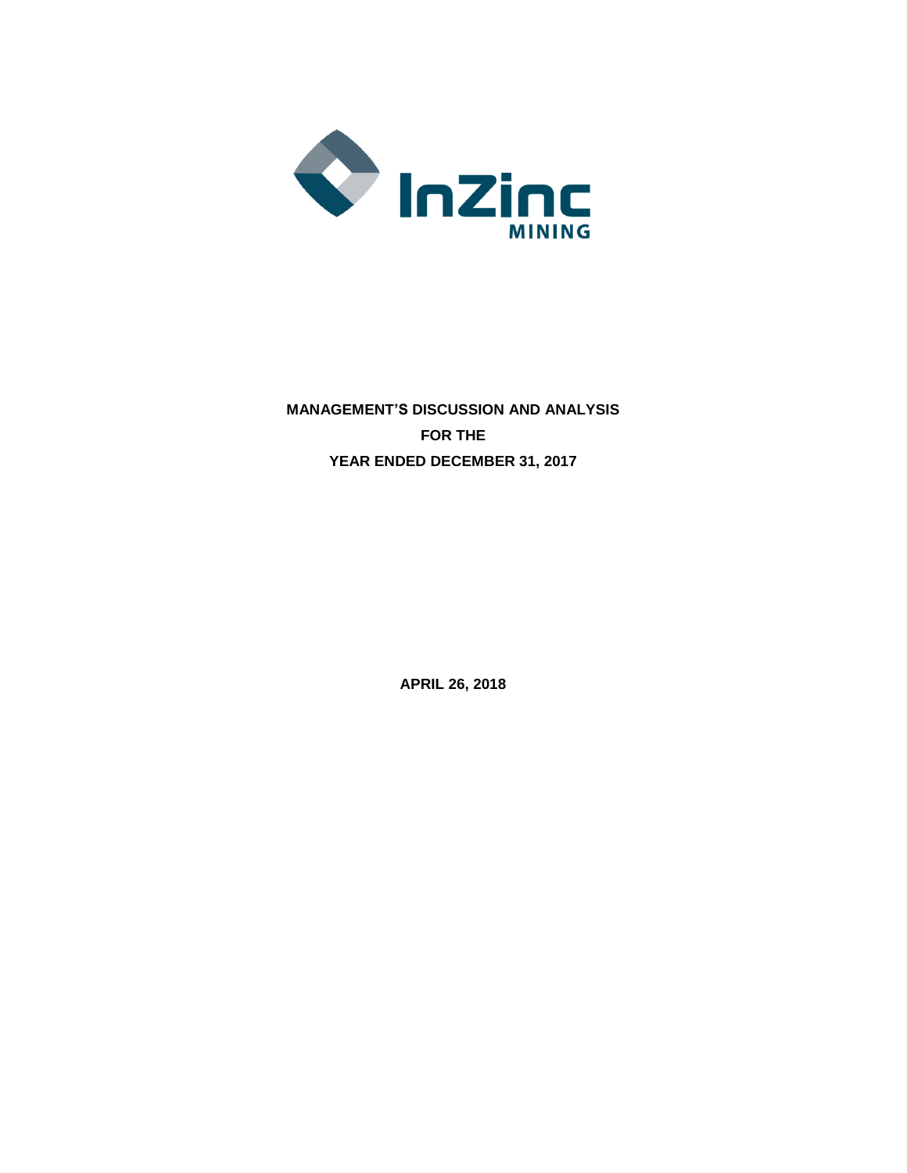

# **MANAGEMENT'S DISCUSSION AND ANALYSIS FOR THE YEAR ENDED DECEMBER 31, 2017**

**APRIL 26, 2018**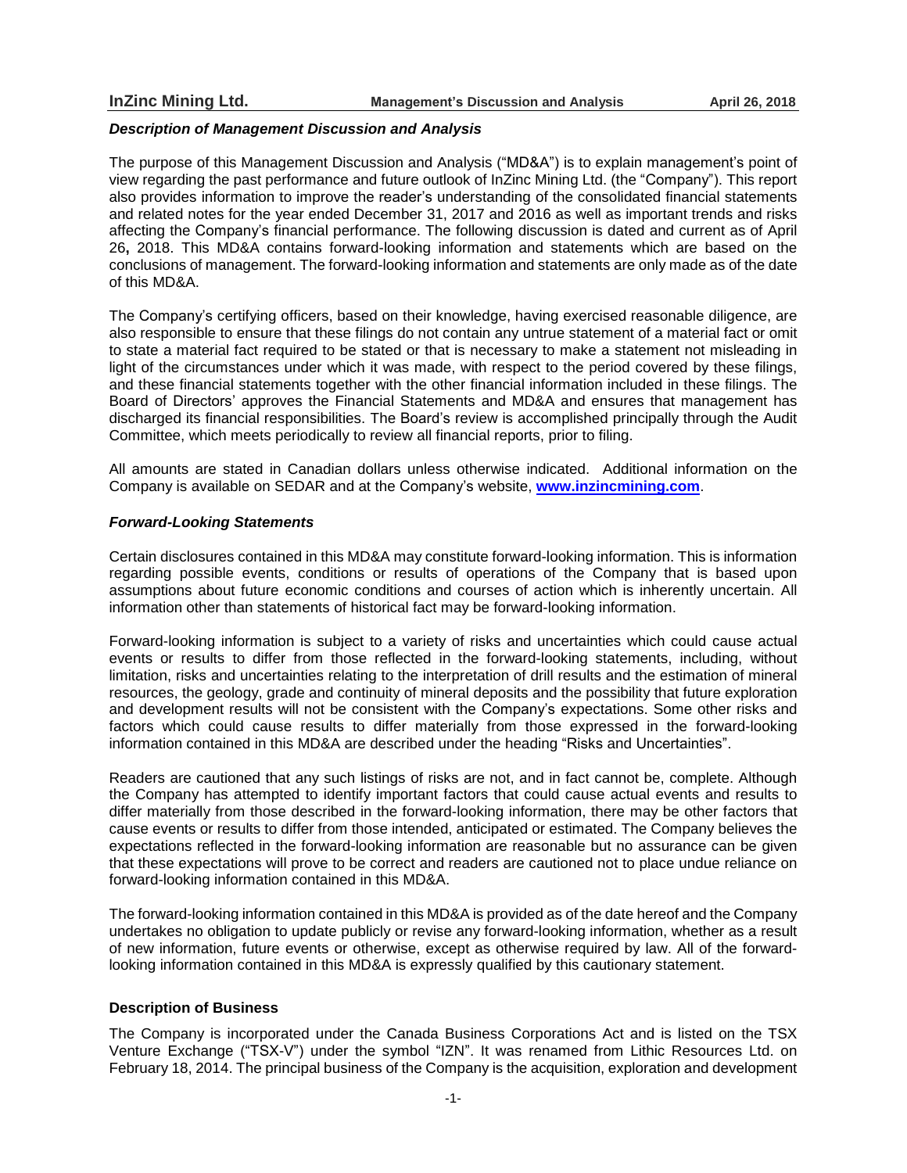### *Description of Management Discussion and Analysis*

The purpose of this Management Discussion and Analysis ("MD&A") is to explain management's point of view regarding the past performance and future outlook of InZinc Mining Ltd. (the "Company"). This report also provides information to improve the reader's understanding of the consolidated financial statements and related notes for the year ended December 31, 2017 and 2016 as well as important trends and risks affecting the Company's financial performance. The following discussion is dated and current as of April 26**,** 2018. This MD&A contains forward-looking information and statements which are based on the conclusions of management. The forward-looking information and statements are only made as of the date of this MD&A.

The Company's certifying officers, based on their knowledge, having exercised reasonable diligence, are also responsible to ensure that these filings do not contain any untrue statement of a material fact or omit to state a material fact required to be stated or that is necessary to make a statement not misleading in light of the circumstances under which it was made, with respect to the period covered by these filings, and these financial statements together with the other financial information included in these filings. The Board of Directors' approves the Financial Statements and MD&A and ensures that management has discharged its financial responsibilities. The Board's review is accomplished principally through the Audit Committee, which meets periodically to review all financial reports, prior to filing.

All amounts are stated in Canadian dollars unless otherwise indicated. Additional information on the Company is available on SEDAR and at the Company's website, **www.inzincmining.com**.

# *Forward-Looking Statements*

Certain disclosures contained in this MD&A may constitute forward-looking information. This is information regarding possible events, conditions or results of operations of the Company that is based upon assumptions about future economic conditions and courses of action which is inherently uncertain. All information other than statements of historical fact may be forward-looking information.

Forward-looking information is subject to a variety of risks and uncertainties which could cause actual events or results to differ from those reflected in the forward-looking statements, including, without limitation, risks and uncertainties relating to the interpretation of drill results and the estimation of mineral resources, the geology, grade and continuity of mineral deposits and the possibility that future exploration and development results will not be consistent with the Company's expectations. Some other risks and factors which could cause results to differ materially from those expressed in the forward-looking information contained in this MD&A are described under the heading "Risks and Uncertainties".

Readers are cautioned that any such listings of risks are not, and in fact cannot be, complete. Although the Company has attempted to identify important factors that could cause actual events and results to differ materially from those described in the forward-looking information, there may be other factors that cause events or results to differ from those intended, anticipated or estimated. The Company believes the expectations reflected in the forward-looking information are reasonable but no assurance can be given that these expectations will prove to be correct and readers are cautioned not to place undue reliance on forward-looking information contained in this MD&A.

The forward-looking information contained in this MD&A is provided as of the date hereof and the Company undertakes no obligation to update publicly or revise any forward-looking information, whether as a result of new information, future events or otherwise, except as otherwise required by law. All of the forwardlooking information contained in this MD&A is expressly qualified by this cautionary statement.

# **Description of Business**

The Company is incorporated under the Canada Business Corporations Act and is listed on the TSX Venture Exchange ("TSX-V") under the symbol "IZN". It was renamed from Lithic Resources Ltd. on February 18, 2014. The principal business of the Company is the acquisition, exploration and development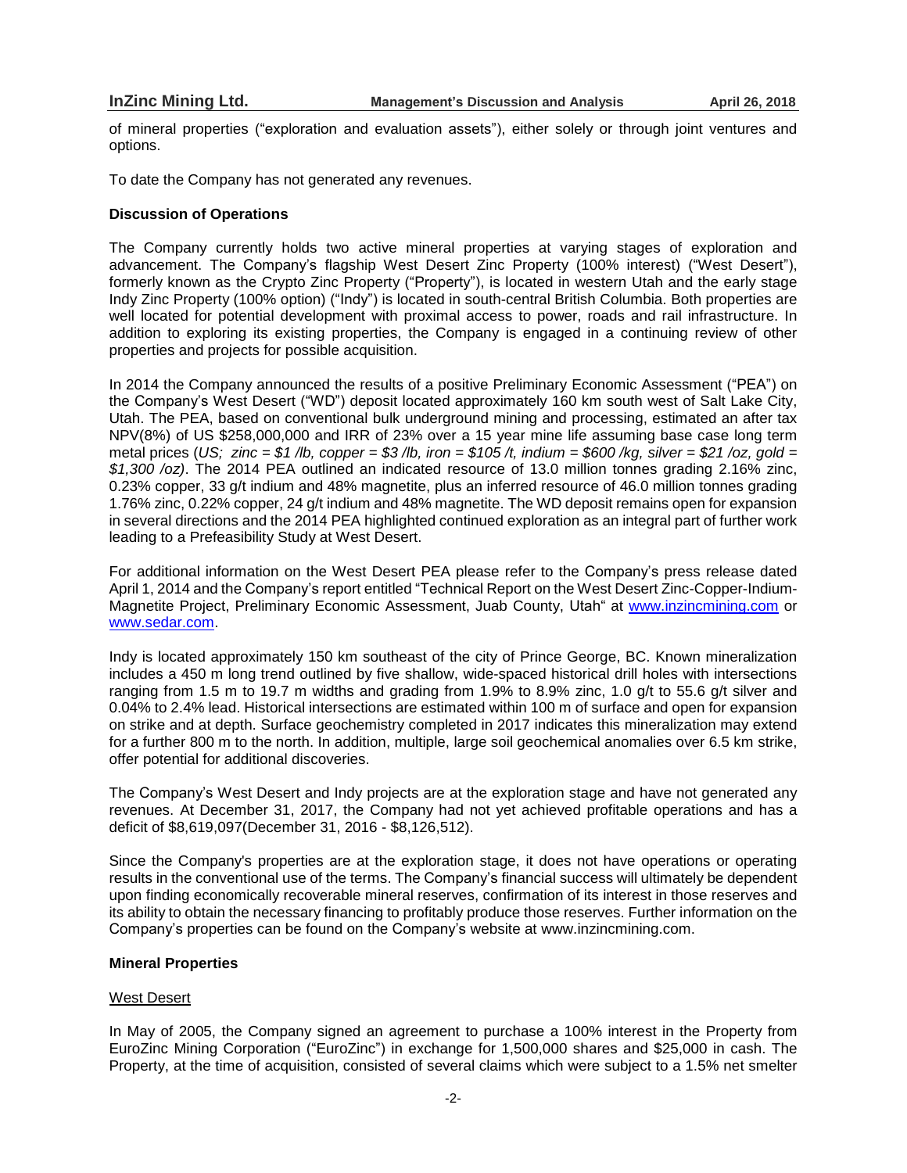of mineral properties ("exploration and evaluation assets"), either solely or through joint ventures and options.

To date the Company has not generated any revenues.

# **Discussion of Operations**

The Company currently holds two active mineral properties at varying stages of exploration and advancement. The Company's flagship West Desert Zinc Property (100% interest) ("West Desert"), formerly known as the Crypto Zinc Property ("Property"), is located in western Utah and the early stage Indy Zinc Property (100% option) ("Indy") is located in south-central British Columbia. Both properties are well located for potential development with proximal access to power, roads and rail infrastructure. In addition to exploring its existing properties, the Company is engaged in a continuing review of other properties and projects for possible acquisition.

In 2014 the Company announced the results of a positive Preliminary Economic Assessment ("PEA") on the Company's West Desert ("WD") deposit located approximately 160 km south west of Salt Lake City, Utah. The PEA, based on conventional bulk underground mining and processing, estimated an after tax NPV(8%) of US \$258,000,000 and IRR of 23% over a 15 year mine life assuming base case long term metal prices (US; zinc = \$1/lb, copper = \$3/lb, iron = \$105/t, indium = \$600/kg, silver = \$21/oz, gold = *\$1,300 /oz)*. The 2014 PEA outlined an indicated resource of 13.0 million tonnes grading 2.16% zinc, 0.23% copper, 33 g/t indium and 48% magnetite, plus an inferred resource of 46.0 million tonnes grading 1.76% zinc, 0.22% copper, 24 g/t indium and 48% magnetite. The WD deposit remains open for expansion in several directions and the 2014 PEA highlighted continued exploration as an integral part of further work leading to a Prefeasibility Study at West Desert.

For additional information on the West Desert PEA please refer to the Company's press release dated April 1, 2014 and the Company's report entitled "Technical Report on the West Desert Zinc-Copper-Indium-Magnetite Project, Preliminary Economic Assessment, Juab County, Utah" at [www.inzincmining.com](http://www.inzincmining.com/) or [www.sedar.com.](http://www.sedar.com/)

Indy is located approximately 150 km southeast of the city of Prince George, BC. Known mineralization includes a 450 m long trend outlined by five shallow, wide-spaced historical drill holes with intersections ranging from 1.5 m to 19.7 m widths and grading from 1.9% to 8.9% zinc, 1.0 g/t to 55.6 g/t silver and 0.04% to 2.4% lead. Historical intersections are estimated within 100 m of surface and open for expansion on strike and at depth. Surface geochemistry completed in 2017 indicates this mineralization may extend for a further 800 m to the north. In addition, multiple, large soil geochemical anomalies over 6.5 km strike, offer potential for additional discoveries.

The Company's West Desert and Indy projects are at the exploration stage and have not generated any revenues. At December 31, 2017, the Company had not yet achieved profitable operations and has a deficit of \$8,619,097(December 31, 2016 - \$8,126,512).

Since the Company's properties are at the exploration stage, it does not have operations or operating results in the conventional use of the terms. The Company's financial success will ultimately be dependent upon finding economically recoverable mineral reserves, confirmation of its interest in those reserves and its ability to obtain the necessary financing to profitably produce those reserves. Further information on the Company's properties can be found on the Company's website at www.inzincmining.com.

## **Mineral Properties**

# West Desert

In May of 2005, the Company signed an agreement to purchase a 100% interest in the Property from EuroZinc Mining Corporation ("EuroZinc") in exchange for 1,500,000 shares and \$25,000 in cash. The Property, at the time of acquisition, consisted of several claims which were subject to a 1.5% net smelter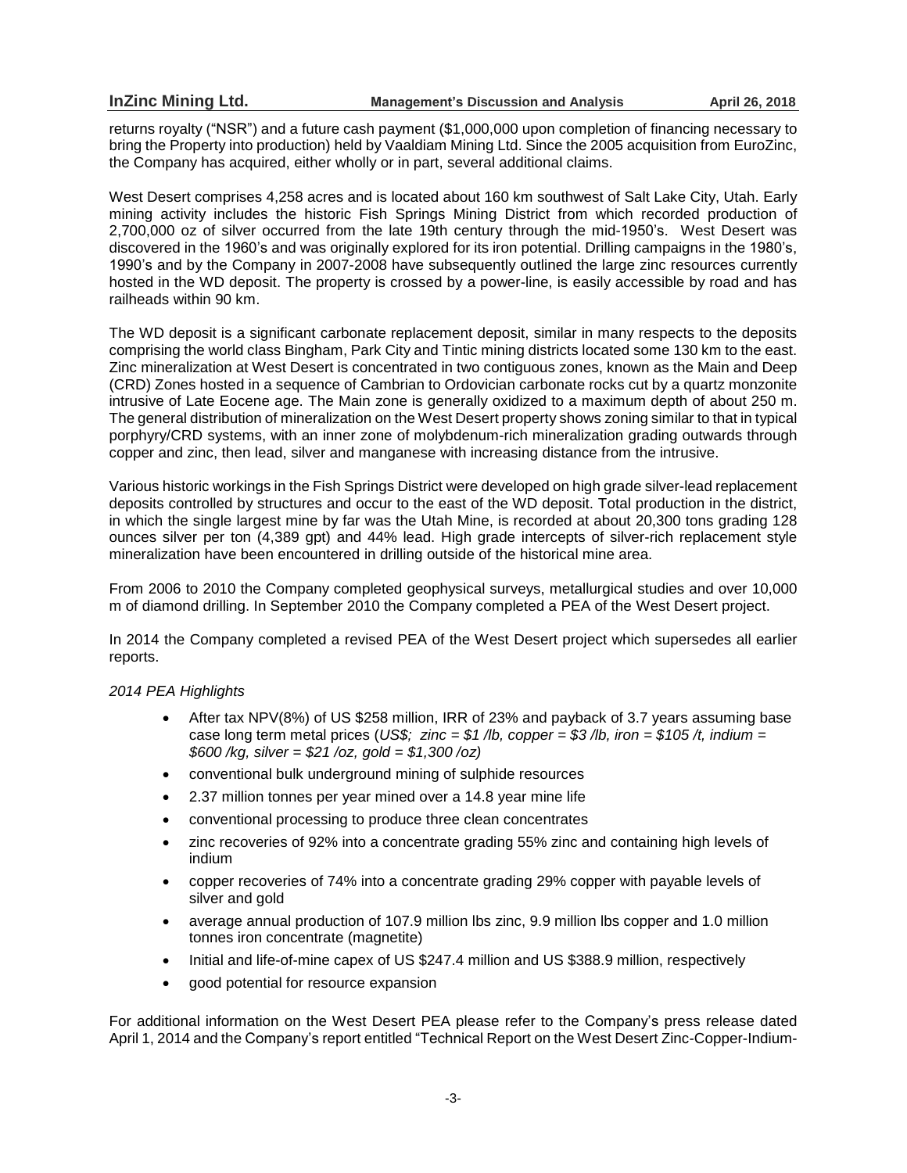returns royalty ("NSR") and a future cash payment (\$1,000,000 upon completion of financing necessary to bring the Property into production) held by Vaaldiam Mining Ltd. Since the 2005 acquisition from EuroZinc, the Company has acquired, either wholly or in part, several additional claims.

West Desert comprises 4,258 acres and is located about 160 km southwest of Salt Lake City, Utah. Early mining activity includes the historic Fish Springs Mining District from which recorded production of 2,700,000 oz of silver occurred from the late 19th century through the mid-1950's. West Desert was discovered in the 1960's and was originally explored for its iron potential. Drilling campaigns in the 1980's, 1990's and by the Company in 2007-2008 have subsequently outlined the large zinc resources currently hosted in the WD deposit. The property is crossed by a power-line, is easily accessible by road and has railheads within 90 km.

The WD deposit is a significant carbonate replacement deposit, similar in many respects to the deposits comprising the world class Bingham, Park City and Tintic mining districts located some 130 km to the east. Zinc mineralization at West Desert is concentrated in two contiguous zones, known as the Main and Deep (CRD) Zones hosted in a sequence of Cambrian to Ordovician carbonate rocks cut by a quartz monzonite intrusive of Late Eocene age. The Main zone is generally oxidized to a maximum depth of about 250 m. The general distribution of mineralization on the West Desert property shows zoning similar to that in typical porphyry/CRD systems, with an inner zone of molybdenum-rich mineralization grading outwards through copper and zinc, then lead, silver and manganese with increasing distance from the intrusive.

Various historic workings in the Fish Springs District were developed on high grade silver-lead replacement deposits controlled by structures and occur to the east of the WD deposit. Total production in the district, in which the single largest mine by far was the Utah Mine, is recorded at about 20,300 tons grading 128 ounces silver per ton (4,389 gpt) and 44% lead. High grade intercepts of silver-rich replacement style mineralization have been encountered in drilling outside of the historical mine area.

From 2006 to 2010 the Company completed geophysical surveys, metallurgical studies and over 10,000 m of diamond drilling. In September 2010 the Company completed a PEA of the West Desert project.

In 2014 the Company completed a revised PEA of the West Desert project which supersedes all earlier reports.

# *2014 PEA Highlights*

- After tax NPV(8%) of US \$258 million, IRR of 23% and payback of 3.7 years assuming base case long term metal prices (US\$; zinc = \$1 /lb, copper = \$3 /lb, iron = \$105 /t, indium = *\$600 /kg, silver = \$21 /oz, gold = \$1,300 /oz)*
- conventional bulk underground mining of sulphide resources
- 2.37 million tonnes per year mined over a 14.8 year mine life
- conventional processing to produce three clean concentrates
- zinc recoveries of 92% into a concentrate grading 55% zinc and containing high levels of indium
- copper recoveries of 74% into a concentrate grading 29% copper with payable levels of silver and gold
- average annual production of 107.9 million lbs zinc, 9.9 million lbs copper and 1.0 million tonnes iron concentrate (magnetite)
- Initial and life-of-mine capex of US \$247.4 million and US \$388.9 million, respectively
- good potential for resource expansion

For additional information on the West Desert PEA please refer to the Company's press release dated April 1, 2014 and the Company's report entitled "Technical Report on the West Desert Zinc-Copper-Indium-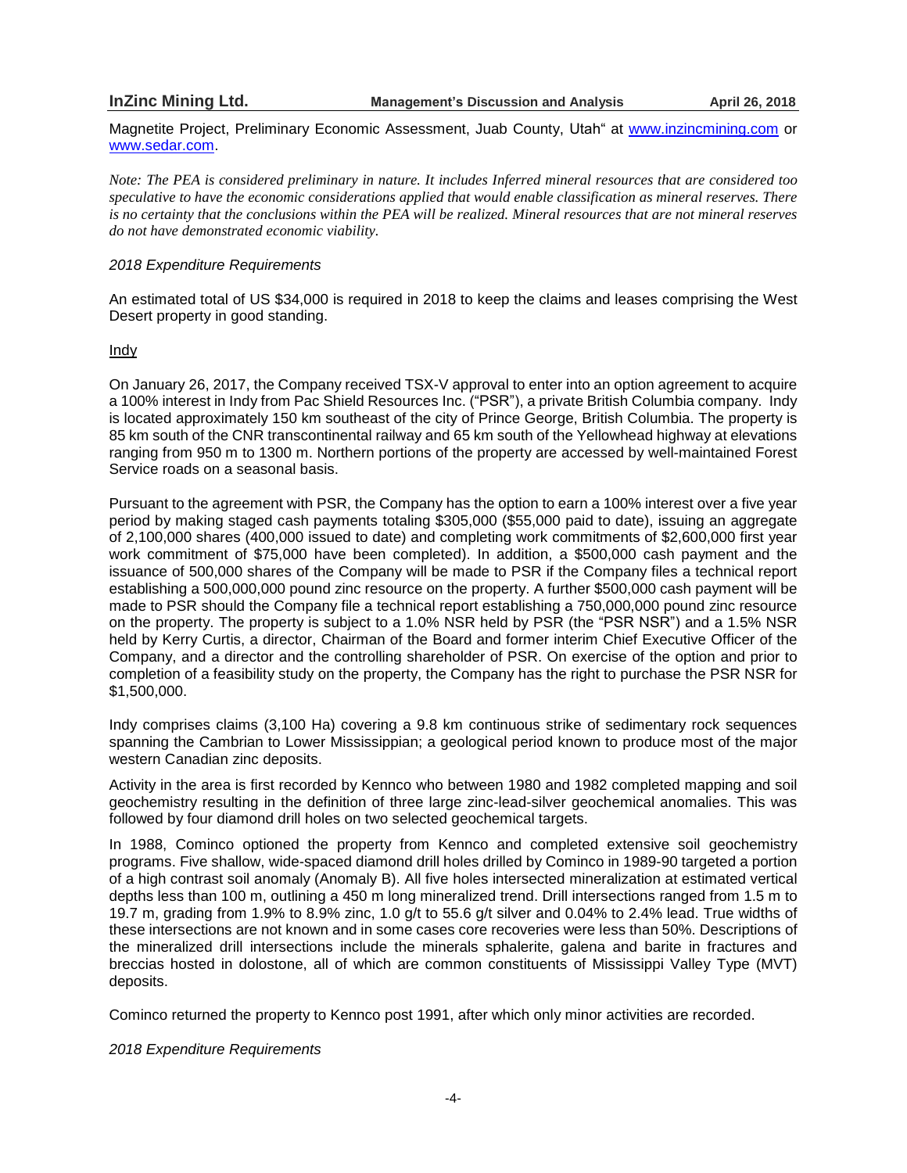Magnetite Project, Preliminary Economic Assessment, Juab County, Utah" at [www.inzincmining.com](http://www.inzincmining.com/) or [www.sedar.com.](http://www.sedar.com/)

Note: The PEA is considered preliminary in nature. It includes Inferred mineral resources that are considered too *speculative to have the economic considerations applied that would enable classification as mineral reserves. There* is no certainty that the conclusions within the PEA will be realized. Mineral resources that are not mineral reserves *do not have demonstrated economic viability.*

#### *2018 Expenditure Requirements*

An estimated total of US \$34,000 is required in 2018 to keep the claims and leases comprising the West Desert property in good standing.

# Indy

On January 26, 2017, the Company received TSX-V approval to enter into an option agreement to acquire a 100% interest in Indy from Pac Shield Resources Inc. ("PSR"), a private British Columbia company. Indy is located approximately 150 km southeast of the city of Prince George, British Columbia. The property is 85 km south of the CNR transcontinental railway and 65 km south of the Yellowhead highway at elevations ranging from 950 m to 1300 m. Northern portions of the property are accessed by well-maintained Forest Service roads on a seasonal basis.

Pursuant to the agreement with PSR, the Company has the option to earn a 100% interest over a five year period by making staged cash payments totaling \$305,000 (\$55,000 paid to date), issuing an aggregate of 2,100,000 shares (400,000 issued to date) and completing work commitments of \$2,600,000 first year work commitment of \$75,000 have been completed). In addition, a \$500,000 cash payment and the issuance of 500,000 shares of the Company will be made to PSR if the Company files a technical report establishing a 500,000,000 pound zinc resource on the property. A further \$500,000 cash payment will be made to PSR should the Company file a technical report establishing a 750,000,000 pound zinc resource on the property. The property is subject to a 1.0% NSR held by PSR (the "PSR NSR") and a 1.5% NSR held by Kerry Curtis, a director, Chairman of the Board and former interim Chief Executive Officer of the Company, and a director and the controlling shareholder of PSR. On exercise of the option and prior to completion of a feasibility study on the property, the Company has the right to purchase the PSR NSR for \$1,500,000.

Indy comprises claims (3,100 Ha) covering a 9.8 km continuous strike of sedimentary rock sequences spanning the Cambrian to Lower Mississippian; a geological period known to produce most of the major western Canadian zinc deposits.

Activity in the area is first recorded by Kennco who between 1980 and 1982 completed mapping and soil geochemistry resulting in the definition of three large zinc-lead-silver geochemical anomalies. This was followed by four diamond drill holes on two selected geochemical targets.

In 1988, Cominco optioned the property from Kennco and completed extensive soil geochemistry programs. Five shallow, wide-spaced diamond drill holes drilled by Cominco in 1989-90 targeted a portion of a high contrast soil anomaly (Anomaly B). All five holes intersected mineralization at estimated vertical depths less than 100 m, outlining a 450 m long mineralized trend. Drill intersections ranged from 1.5 m to 19.7 m, grading from 1.9% to 8.9% zinc, 1.0 g/t to 55.6 g/t silver and 0.04% to 2.4% lead. True widths of these intersections are not known and in some cases core recoveries were less than 50%. Descriptions of the mineralized drill intersections include the minerals sphalerite, galena and barite in fractures and breccias hosted in dolostone, all of which are common constituents of Mississippi Valley Type (MVT) deposits.

Cominco returned the property to Kennco post 1991, after which only minor activities are recorded.

*2018 Expenditure Requirements*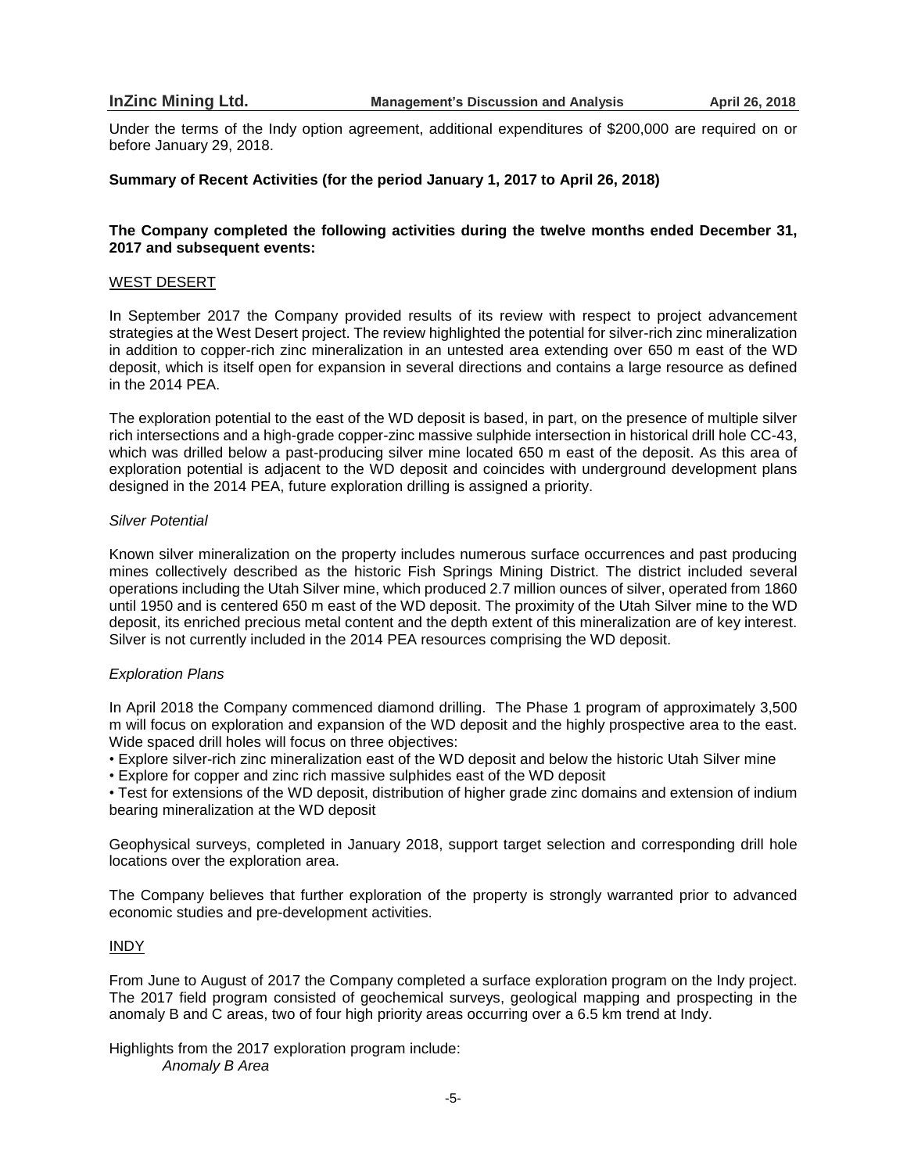Under the terms of the Indy option agreement, additional expenditures of \$200,000 are required on or before January 29, 2018.

# **Summary of Recent Activities (for the period January 1, 2017 to April 26, 2018)**

# **The Company completed the following activities during the twelve months ended December 31, 2017 and subsequent events:**

#### WEST DESERT

In September 2017 the Company provided results of its review with respect to project advancement strategies at the West Desert project. The review highlighted the potential for silver-rich zinc mineralization in addition to copper-rich zinc mineralization in an untested area extending over 650 m east of the WD deposit, which is itself open for expansion in several directions and contains a large resource as defined in the 2014 PEA.

The exploration potential to the east of the WD deposit is based, in part, on the presence of multiple silver rich intersections and a high-grade copper-zinc massive sulphide intersection in historical drill hole CC-43, which was drilled below a past-producing silver mine located 650 m east of the deposit. As this area of exploration potential is adjacent to the WD deposit and coincides with underground development plans designed in the 2014 PEA, future exploration drilling is assigned a priority.

#### *Silver Potential*

Known silver mineralization on the property includes numerous surface occurrences and past producing mines collectively described as the historic Fish Springs Mining District. The district included several operations including the Utah Silver mine, which produced 2.7 million ounces of silver, operated from 1860 until 1950 and is centered 650 m east of the WD deposit. The proximity of the Utah Silver mine to the WD deposit, its enriched precious metal content and the depth extent of this mineralization are of key interest. Silver is not currently included in the 2014 PEA resources comprising the WD deposit.

### *Exploration Plans*

In April 2018 the Company commenced diamond drilling. The Phase 1 program of approximately 3,500 m will focus on exploration and expansion of the WD deposit and the highly prospective area to the east. Wide spaced drill holes will focus on three objectives:

• Explore silver-rich zinc mineralization east of the WD deposit and below the historic Utah Silver mine

• Explore for copper and zinc rich massive sulphides east of the WD deposit

• Test for extensions of the WD deposit, distribution of higher grade zinc domains and extension of indium bearing mineralization at the WD deposit

Geophysical surveys, completed in January 2018, support target selection and corresponding drill hole locations over the exploration area.

The Company believes that further exploration of the property is strongly warranted prior to advanced economic studies and pre-development activities.

# INDY

From June to August of 2017 the Company completed a surface exploration program on the Indy project. The 2017 field program consisted of geochemical surveys, geological mapping and prospecting in the anomaly B and C areas, two of four high priority areas occurring over a 6.5 km trend at Indy.

Highlights from the 2017 exploration program include: *Anomaly B Area*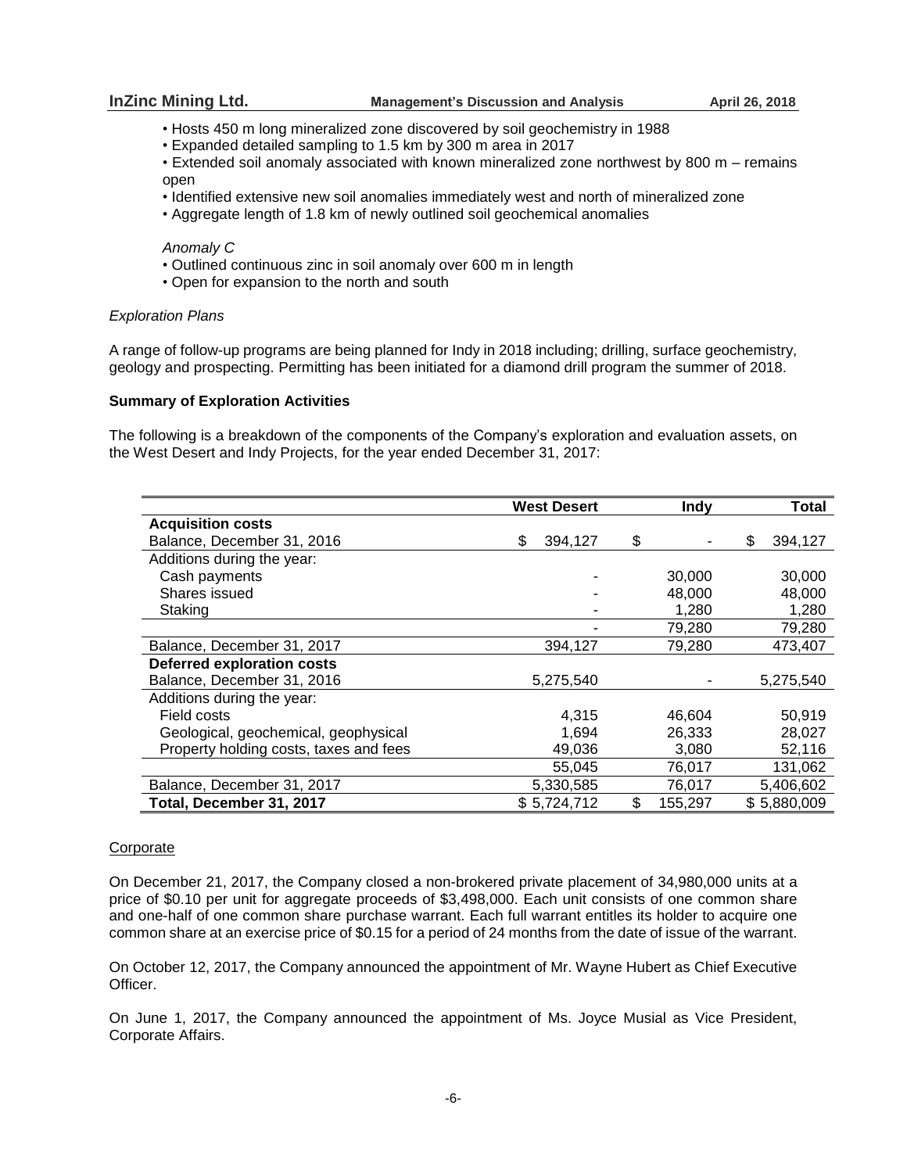- Hosts 450 m long mineralized zone discovered by soil geochemistry in 1988
- Expanded detailed sampling to 1.5 km by 300 m area in 2017

• Extended soil anomaly associated with known mineralized zone northwest by 800 m – remains open

- Identified extensive new soil anomalies immediately west and north of mineralized zone
- Aggregate length of 1.8 km of newly outlined soil geochemical anomalies

# *Anomaly C*

- Outlined continuous zinc in soil anomaly over 600 m in length
- Open for expansion to the north and south

# *Exploration Plans*

A range of follow-up programs are being planned for Indy in 2018 including; drilling, surface geochemistry, geology and prospecting. Permitting has been initiated for a diamond drill program the summer of 2018.

# **Summary of Exploration Activities**

The following is a breakdown of the components of the Company's exploration and evaluation assets, on the West Desert and Indy Projects, for the year ended December 31, 2017:

|                                        | <b>West Desert</b> | <b>Indy</b>   | Total         |
|----------------------------------------|--------------------|---------------|---------------|
| <b>Acquisition costs</b>               |                    |               |               |
| Balance, December 31, 2016             | \$<br>394,127      | \$            | \$<br>394,127 |
| Additions during the year:             |                    |               |               |
| Cash payments                          |                    | 30,000        | 30,000        |
| Shares issued                          |                    | 48,000        | 48,000        |
| Staking                                |                    | 1,280         | 1,280         |
|                                        |                    | 79,280        | 79,280        |
| Balance, December 31, 2017             | 394,127            | 79,280        | 473,407       |
| <b>Deferred exploration costs</b>      |                    |               |               |
| Balance, December 31, 2016             | 5,275,540          |               | 5,275,540     |
| Additions during the year:             |                    |               |               |
| Field costs                            | 4,315              | 46,604        | 50,919        |
| Geological, geochemical, geophysical   | 1,694              | 26,333        | 28,027        |
| Property holding costs, taxes and fees | 49,036             | 3,080         | 52,116        |
|                                        | 55,045             | 76,017        | 131,062       |
| Balance, December 31, 2017             | 5,330,585          | 76,017        | 5,406,602     |
| Total, December 31, 2017               | \$5,724,712        | \$<br>155,297 | \$5,880,009   |

# Corporate

On December 21, 2017, the Company closed a non-brokered private placement of 34,980,000 units at a price of \$0.10 per unit for aggregate proceeds of \$3,498,000. Each unit consists of one common share and one-half of one common share purchase warrant. Each full warrant entitles its holder to acquire one common share at an exercise price of \$0.15 for a period of 24 months from the date of issue of the warrant.

On October 12, 2017, the Company announced the appointment of Mr. Wayne Hubert as Chief Executive Officer.

On June 1, 2017, the Company announced the appointment of Ms. Joyce Musial as Vice President, Corporate Affairs.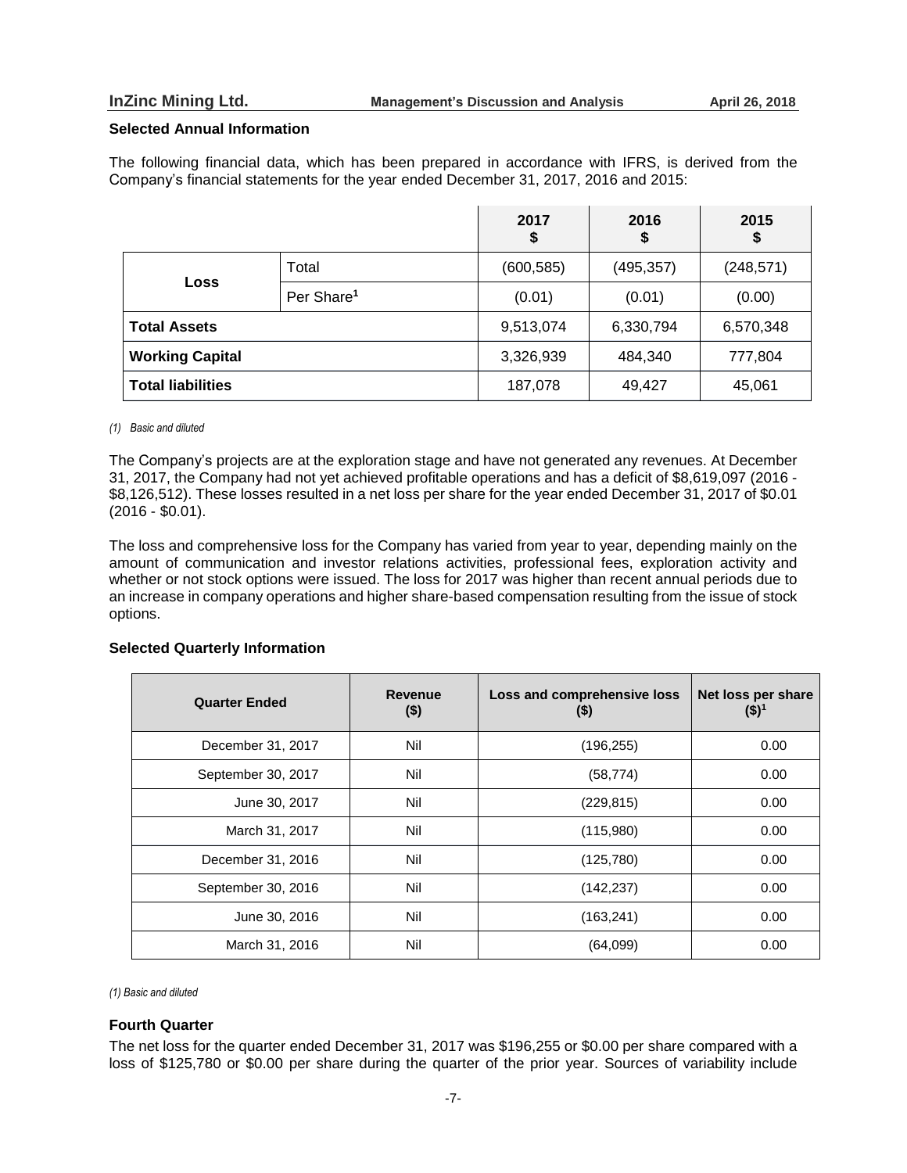### **Selected Annual Information**

The following financial data, which has been prepared in accordance with IFRS, is derived from the Company's financial statements for the year ended December 31, 2017, 2016 and 2015:

|                          |                        | 2017<br>\$ | 2016<br>\$ | 2015<br>Φ  |
|--------------------------|------------------------|------------|------------|------------|
| Loss                     | Total                  | (600, 585) | (495, 357) | (248, 571) |
|                          | Per Share <sup>1</sup> | (0.01)     | (0.01)     | (0.00)     |
| <b>Total Assets</b>      |                        | 9,513,074  | 6,330,794  | 6,570,348  |
| <b>Working Capital</b>   |                        | 3,326,939  | 484,340    | 777,804    |
| <b>Total liabilities</b> |                        | 187,078    | 49,427     | 45,061     |

#### *(1) Basic and diluted*

The Company's projects are at the exploration stage and have not generated any revenues. At December 31, 2017, the Company had not yet achieved profitable operations and has a deficit of \$8,619,097 (2016 - \$8,126,512). These losses resulted in a net loss per share for the year ended December 31, 2017 of \$0.01 (2016 - \$0.01).

The loss and comprehensive loss for the Company has varied from year to year, depending mainly on the amount of communication and investor relations activities, professional fees, exploration activity and whether or not stock options were issued. The loss for 2017 was higher than recent annual periods due to an increase in company operations and higher share-based compensation resulting from the issue of stock options.

# **Selected Quarterly Information**

| <b>Quarter Ended</b> | <b>Revenue</b><br>$(\$)$ | Loss and comprehensive loss<br>(5) | Net loss per share<br>$($ \$) <sup>1</sup> |
|----------------------|--------------------------|------------------------------------|--------------------------------------------|
| December 31, 2017    | Nil                      | (196, 255)                         | 0.00                                       |
| September 30, 2017   | Nil                      | (58, 774)                          | 0.00                                       |
| June 30, 2017        | Nil                      | (229, 815)                         | 0.00                                       |
| March 31, 2017       | Nil                      | (115,980)                          | 0.00                                       |
| December 31, 2016    | Nil                      | (125, 780)                         | 0.00                                       |
| September 30, 2016   | Nil                      | (142, 237)                         | 0.00                                       |
| June 30, 2016        | Nil                      | (163, 241)                         | 0.00                                       |
| March 31, 2016       | Nil                      | (64,099)                           | 0.00                                       |

*(1) Basic and diluted*

# **Fourth Quarter**

The net loss for the quarter ended December 31, 2017 was \$196,255 or \$0.00 per share compared with a loss of \$125,780 or \$0.00 per share during the quarter of the prior year. Sources of variability include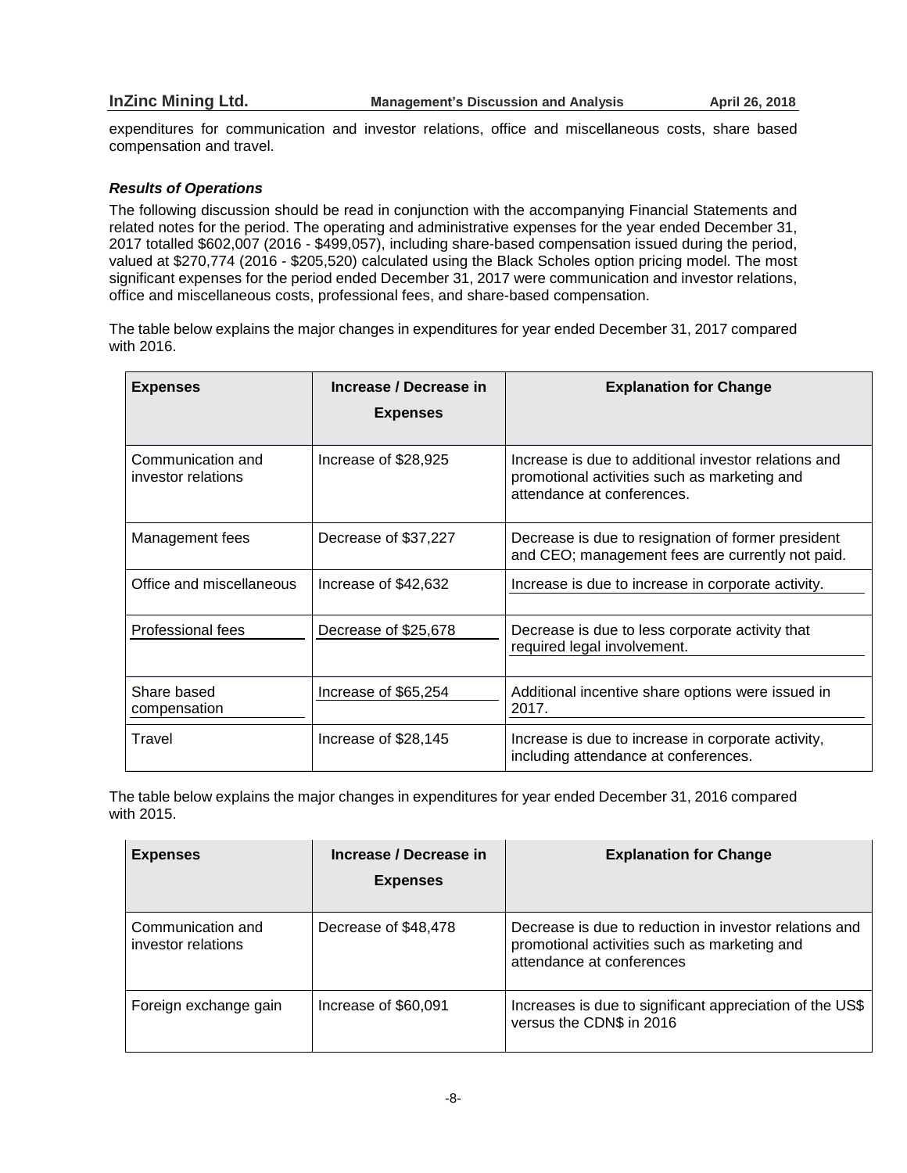expenditures for communication and investor relations, office and miscellaneous costs, share based compensation and travel.

# *Results of Operations*

The following discussion should be read in conjunction with the accompanying Financial Statements and related notes for the period. The operating and administrative expenses for the year ended December 31, 2017 totalled \$602,007 (2016 - \$499,057), including share-based compensation issued during the period, valued at \$270,774 (2016 - \$205,520) calculated using the Black Scholes option pricing model. The most significant expenses for the period ended December 31, 2017 were communication and investor relations, office and miscellaneous costs, professional fees, and share-based compensation.

The table below explains the major changes in expenditures for year ended December 31, 2017 compared with 2016.

| <b>Expenses</b>                         | Increase / Decrease in<br><b>Expenses</b> | <b>Explanation for Change</b>                                                                                                      |
|-----------------------------------------|-------------------------------------------|------------------------------------------------------------------------------------------------------------------------------------|
| Communication and<br>investor relations | Increase of \$28,925                      | Increase is due to additional investor relations and<br>promotional activities such as marketing and<br>attendance at conferences. |
| Management fees                         | Decrease of \$37,227                      | Decrease is due to resignation of former president<br>and CEO; management fees are currently not paid.                             |
| Office and miscellaneous                | Increase of \$42,632                      | Increase is due to increase in corporate activity.                                                                                 |
| Professional fees                       | Decrease of \$25,678                      | Decrease is due to less corporate activity that<br>required legal involvement.                                                     |
| Share based<br>compensation             | Increase of \$65,254                      | Additional incentive share options were issued in<br>2017.                                                                         |
| Travel                                  | Increase of \$28,145                      | Increase is due to increase in corporate activity,<br>including attendance at conferences.                                         |

The table below explains the major changes in expenditures for year ended December 31, 2016 compared with 2015.

| <b>Expenses</b>                         | Increase / Decrease in<br><b>Expenses</b> | <b>Explanation for Change</b>                                                                                                       |
|-----------------------------------------|-------------------------------------------|-------------------------------------------------------------------------------------------------------------------------------------|
| Communication and<br>investor relations | Decrease of \$48,478                      | Decrease is due to reduction in investor relations and<br>promotional activities such as marketing and<br>attendance at conferences |
| Foreign exchange gain                   | Increase of \$60,091                      | Increases is due to significant appreciation of the US\$<br>versus the CDN\$ in 2016                                                |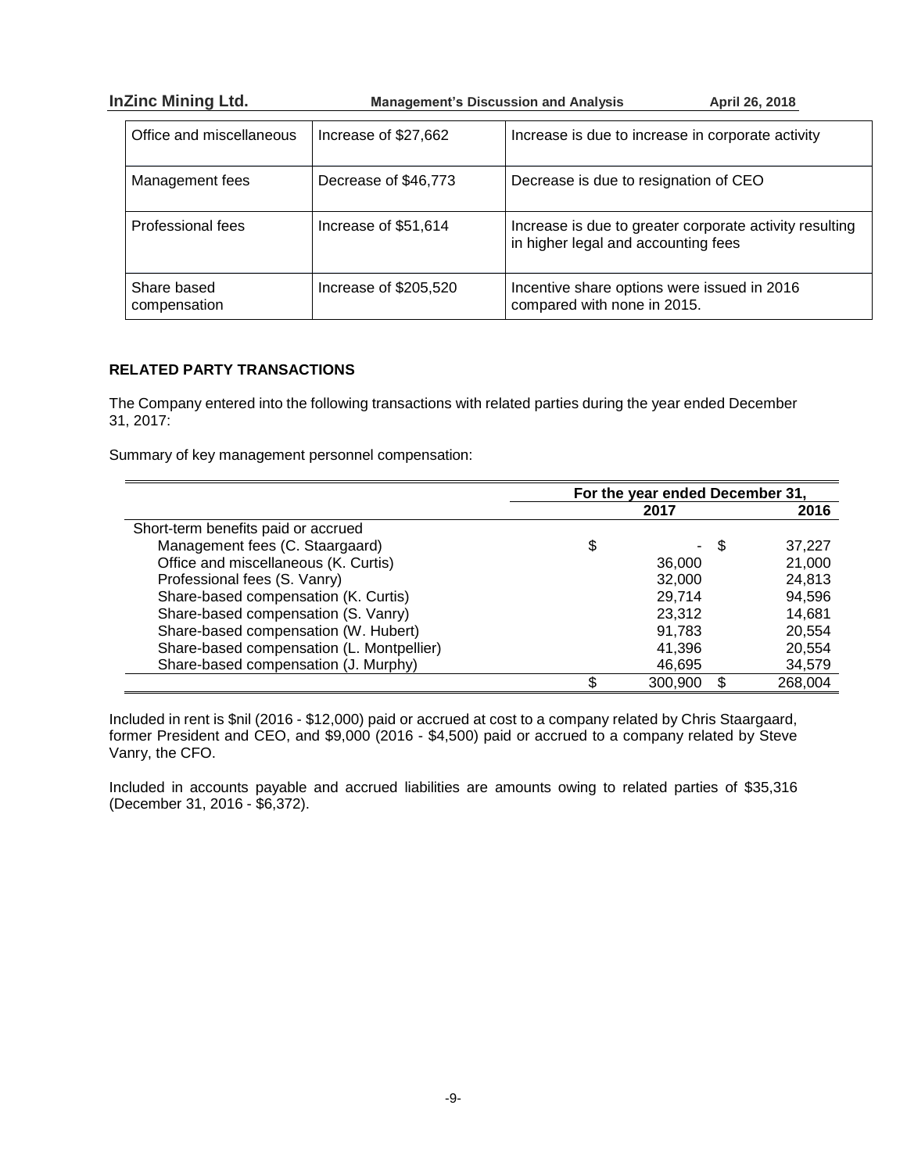| <b>InZinc Mining Ltd.</b> |                             | <b>Management's Discussion and Analysis</b> | April 26, 2018                                                                                 |
|---------------------------|-----------------------------|---------------------------------------------|------------------------------------------------------------------------------------------------|
|                           | Office and miscellaneous    | Increase of \$27,662                        | Increase is due to increase in corporate activity                                              |
|                           | Management fees             | Decrease of \$46,773                        | Decrease is due to resignation of CEO                                                          |
|                           | Professional fees           | Increase of \$51,614                        | Increase is due to greater corporate activity resulting<br>in higher legal and accounting fees |
|                           | Share based<br>compensation | Increase of \$205,520                       | Incentive share options were issued in 2016<br>compared with none in 2015.                     |

# **RELATED PARTY TRANSACTIONS**

The Company entered into the following transactions with related parties during the year ended December 31, 2017:

Summary of key management personnel compensation:

|                                           | For the year ended December 31, |         |         |
|-------------------------------------------|---------------------------------|---------|---------|
|                                           |                                 | 2017    | 2016    |
| Short-term benefits paid or accrued       |                                 |         |         |
| Management fees (C. Staargaard)           | \$                              | £.      | 37,227  |
| Office and miscellaneous (K. Curtis)      |                                 | 36,000  | 21,000  |
| Professional fees (S. Vanry)              |                                 | 32,000  | 24,813  |
| Share-based compensation (K. Curtis)      |                                 | 29,714  | 94,596  |
| Share-based compensation (S. Vanry)       |                                 | 23,312  | 14,681  |
| Share-based compensation (W. Hubert)      |                                 | 91.783  | 20,554  |
| Share-based compensation (L. Montpellier) |                                 | 41,396  | 20,554  |
| Share-based compensation (J. Murphy)      |                                 | 46,695  | 34,579  |
|                                           |                                 | 300,900 | 268,004 |

Included in rent is \$nil (2016 - \$12,000) paid or accrued at cost to a company related by Chris Staargaard, former President and CEO, and \$9,000 (2016 - \$4,500) paid or accrued to a company related by Steve Vanry, the CFO.

Included in accounts payable and accrued liabilities are amounts owing to related parties of \$35,316 (December 31, 2016 - \$6,372).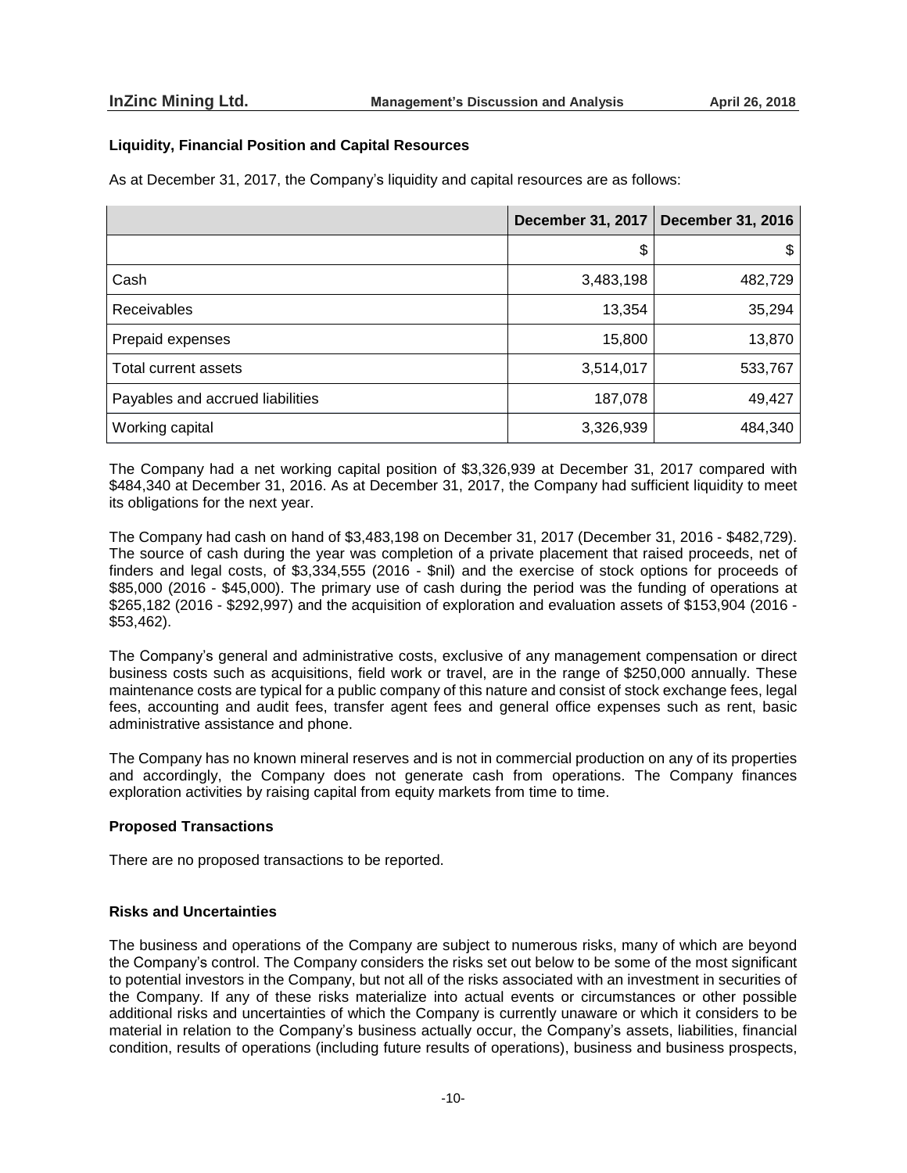# **Liquidity, Financial Position and Capital Resources**

As at December 31, 2017, the Company's liquidity and capital resources are as follows:

|                                  | <b>December 31, 2017</b> | <b>December 31, 2016</b> |
|----------------------------------|--------------------------|--------------------------|
|                                  | \$                       | \$                       |
| Cash                             | 3,483,198                | 482,729                  |
| <b>Receivables</b>               | 13,354                   | 35,294                   |
| Prepaid expenses                 | 15,800                   | 13,870                   |
| Total current assets             | 3,514,017                | 533,767                  |
| Payables and accrued liabilities | 187,078                  | 49,427                   |
| Working capital                  | 3,326,939                | 484,340                  |

The Company had a net working capital position of \$3,326,939 at December 31, 2017 compared with \$484,340 at December 31, 2016. As at December 31, 2017, the Company had sufficient liquidity to meet its obligations for the next year.

The Company had cash on hand of \$3,483,198 on December 31, 2017 (December 31, 2016 - \$482,729). The source of cash during the year was completion of a private placement that raised proceeds, net of finders and legal costs, of \$3,334,555 (2016 - \$nil) and the exercise of stock options for proceeds of \$85,000 (2016 - \$45,000). The primary use of cash during the period was the funding of operations at \$265,182 (2016 - \$292,997) and the acquisition of exploration and evaluation assets of \$153,904 (2016 - \$53,462).

The Company's general and administrative costs, exclusive of any management compensation or direct business costs such as acquisitions, field work or travel, are in the range of \$250,000 annually. These maintenance costs are typical for a public company of this nature and consist of stock exchange fees, legal fees, accounting and audit fees, transfer agent fees and general office expenses such as rent, basic administrative assistance and phone.

The Company has no known mineral reserves and is not in commercial production on any of its properties and accordingly, the Company does not generate cash from operations. The Company finances exploration activities by raising capital from equity markets from time to time.

# **Proposed Transactions**

There are no proposed transactions to be reported.

# **Risks and Uncertainties**

The business and operations of the Company are subject to numerous risks, many of which are beyond the Company's control. The Company considers the risks set out below to be some of the most significant to potential investors in the Company, but not all of the risks associated with an investment in securities of the Company. If any of these risks materialize into actual events or circumstances or other possible additional risks and uncertainties of which the Company is currently unaware or which it considers to be material in relation to the Company's business actually occur, the Company's assets, liabilities, financial condition, results of operations (including future results of operations), business and business prospects,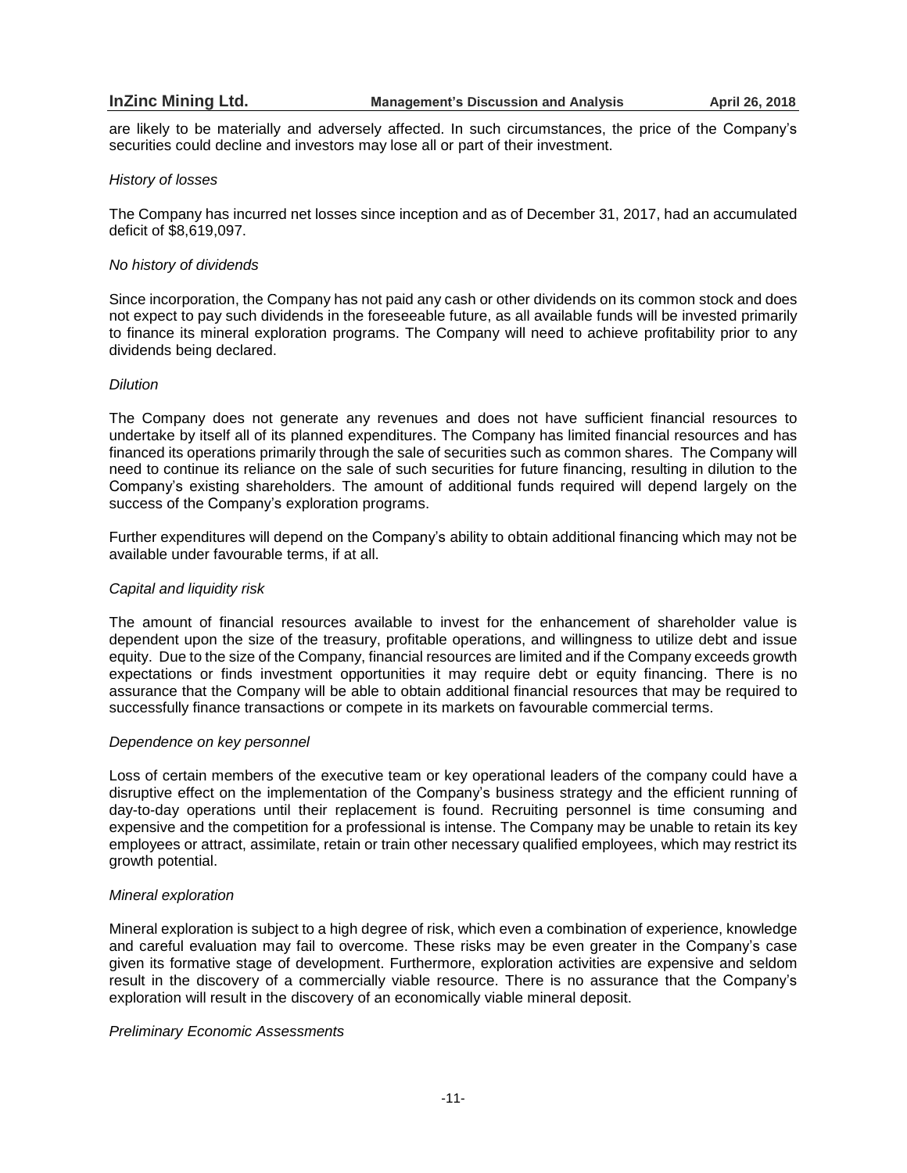are likely to be materially and adversely affected. In such circumstances, the price of the Company's securities could decline and investors may lose all or part of their investment.

### *History of losses*

The Company has incurred net losses since inception and as of December 31, 2017, had an accumulated deficit of \$8,619,097.

### *No history of dividends*

Since incorporation, the Company has not paid any cash or other dividends on its common stock and does not expect to pay such dividends in the foreseeable future, as all available funds will be invested primarily to finance its mineral exploration programs. The Company will need to achieve profitability prior to any dividends being declared.

### *Dilution*

The Company does not generate any revenues and does not have sufficient financial resources to undertake by itself all of its planned expenditures. The Company has limited financial resources and has financed its operations primarily through the sale of securities such as common shares. The Company will need to continue its reliance on the sale of such securities for future financing, resulting in dilution to the Company's existing shareholders. The amount of additional funds required will depend largely on the success of the Company's exploration programs.

Further expenditures will depend on the Company's ability to obtain additional financing which may not be available under favourable terms, if at all.

# *Capital and liquidity risk*

The amount of financial resources available to invest for the enhancement of shareholder value is dependent upon the size of the treasury, profitable operations, and willingness to utilize debt and issue equity. Due to the size of the Company, financial resources are limited and if the Company exceeds growth expectations or finds investment opportunities it may require debt or equity financing. There is no assurance that the Company will be able to obtain additional financial resources that may be required to successfully finance transactions or compete in its markets on favourable commercial terms.

### *Dependence on key personnel*

Loss of certain members of the executive team or key operational leaders of the company could have a disruptive effect on the implementation of the Company's business strategy and the efficient running of day-to-day operations until their replacement is found. Recruiting personnel is time consuming and expensive and the competition for a professional is intense. The Company may be unable to retain its key employees or attract, assimilate, retain or train other necessary qualified employees, which may restrict its growth potential.

### *Mineral exploration*

Mineral exploration is subject to a high degree of risk, which even a combination of experience, knowledge and careful evaluation may fail to overcome. These risks may be even greater in the Company's case given its formative stage of development. Furthermore, exploration activities are expensive and seldom result in the discovery of a commercially viable resource. There is no assurance that the Company's exploration will result in the discovery of an economically viable mineral deposit.

### *Preliminary Economic Assessments*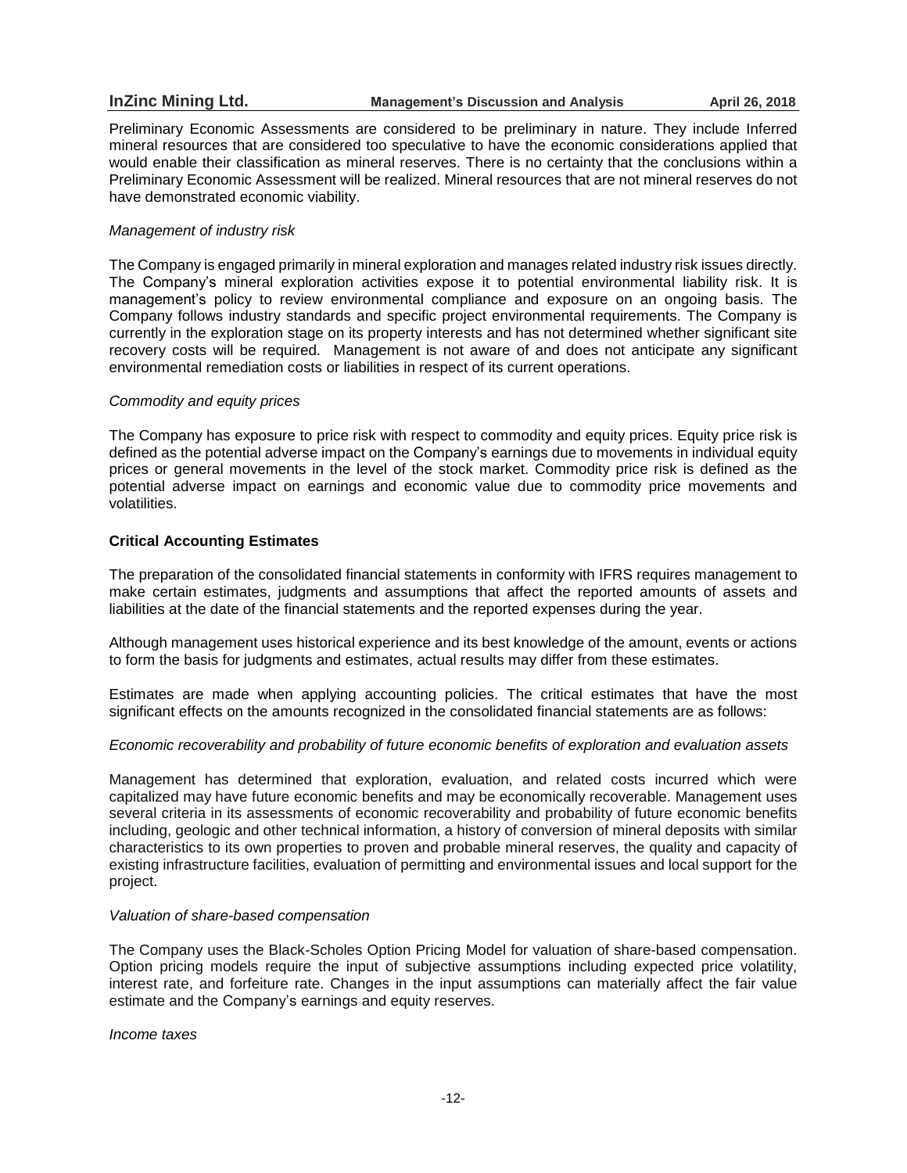Preliminary Economic Assessments are considered to be preliminary in nature. They include Inferred mineral resources that are considered too speculative to have the economic considerations applied that would enable their classification as mineral reserves. There is no certainty that the conclusions within a Preliminary Economic Assessment will be realized. Mineral resources that are not mineral reserves do not have demonstrated economic viability.

# *Management of industry risk*

The Company is engaged primarily in mineral exploration and manages related industry risk issues directly. The Company's mineral exploration activities expose it to potential environmental liability risk. It is management's policy to review environmental compliance and exposure on an ongoing basis. The Company follows industry standards and specific project environmental requirements. The Company is currently in the exploration stage on its property interests and has not determined whether significant site recovery costs will be required. Management is not aware of and does not anticipate any significant environmental remediation costs or liabilities in respect of its current operations.

# *Commodity and equity prices*

The Company has exposure to price risk with respect to commodity and equity prices. Equity price risk is defined as the potential adverse impact on the Company's earnings due to movements in individual equity prices or general movements in the level of the stock market. Commodity price risk is defined as the potential adverse impact on earnings and economic value due to commodity price movements and volatilities.

# **Critical Accounting Estimates**

The preparation of the consolidated financial statements in conformity with IFRS requires management to make certain estimates, judgments and assumptions that affect the reported amounts of assets and liabilities at the date of the financial statements and the reported expenses during the year.

Although management uses historical experience and its best knowledge of the amount, events or actions to form the basis for judgments and estimates, actual results may differ from these estimates.

Estimates are made when applying accounting policies. The critical estimates that have the most significant effects on the amounts recognized in the consolidated financial statements are as follows:

# *Economic recoverability and probability of future economic benefits of exploration and evaluation assets*

Management has determined that exploration, evaluation, and related costs incurred which were capitalized may have future economic benefits and may be economically recoverable. Management uses several criteria in its assessments of economic recoverability and probability of future economic benefits including, geologic and other technical information, a history of conversion of mineral deposits with similar characteristics to its own properties to proven and probable mineral reserves, the quality and capacity of existing infrastructure facilities, evaluation of permitting and environmental issues and local support for the project.

### *Valuation of share-based compensation*

The Company uses the Black-Scholes Option Pricing Model for valuation of share-based compensation. Option pricing models require the input of subjective assumptions including expected price volatility, interest rate, and forfeiture rate. Changes in the input assumptions can materially affect the fair value estimate and the Company's earnings and equity reserves.

*Income taxes*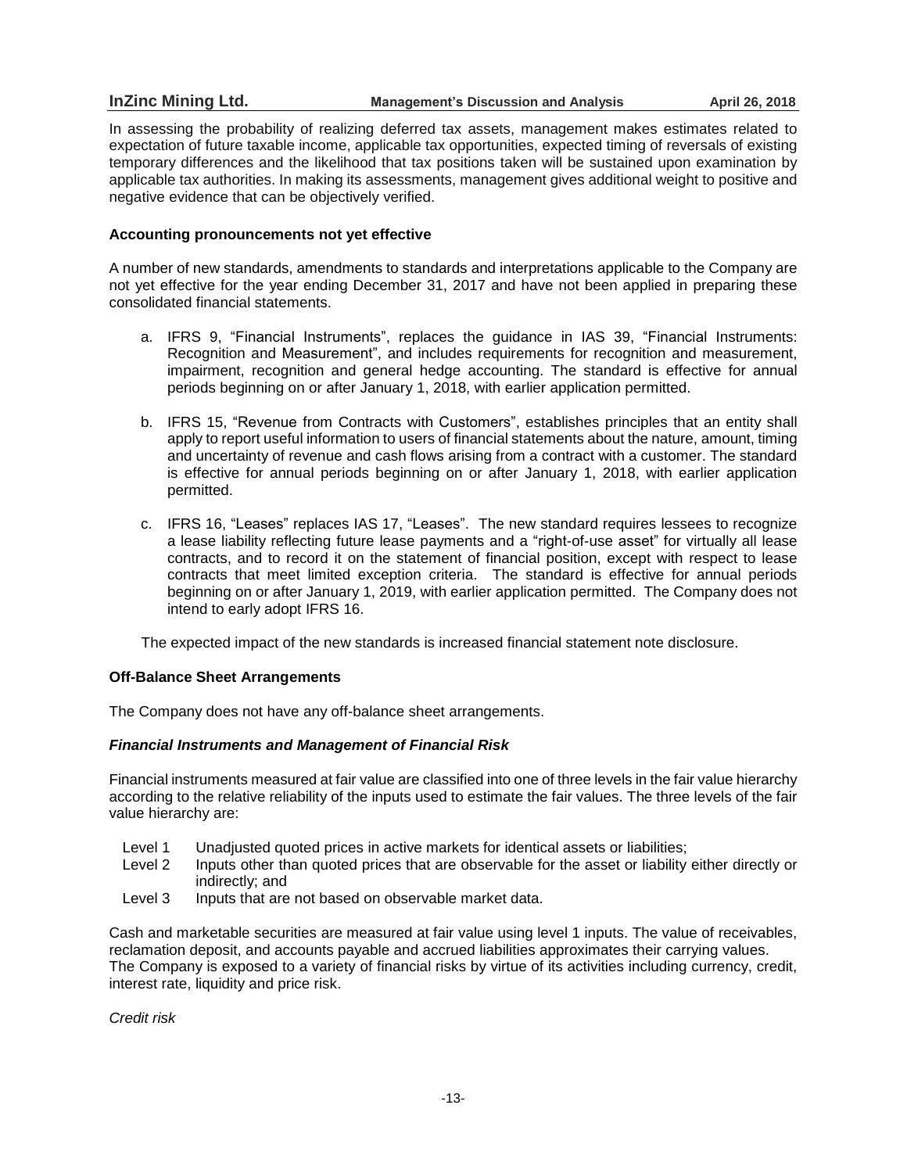# **InZinc Mining Ltd. Management's Discussion and Analysis April 26, 2018**

In assessing the probability of realizing deferred tax assets, management makes estimates related to expectation of future taxable income, applicable tax opportunities, expected timing of reversals of existing temporary differences and the likelihood that tax positions taken will be sustained upon examination by applicable tax authorities. In making its assessments, management gives additional weight to positive and negative evidence that can be objectively verified.

# **Accounting pronouncements not yet effective**

A number of new standards, amendments to standards and interpretations applicable to the Company are not yet effective for the year ending December 31, 2017 and have not been applied in preparing these consolidated financial statements.

- a. IFRS 9, "Financial Instruments", replaces the guidance in IAS 39, "Financial Instruments: Recognition and Measurement", and includes requirements for recognition and measurement, impairment, recognition and general hedge accounting. The standard is effective for annual periods beginning on or after January 1, 2018, with earlier application permitted.
- b. IFRS 15, "Revenue from Contracts with Customers", establishes principles that an entity shall apply to report useful information to users of financial statements about the nature, amount, timing and uncertainty of revenue and cash flows arising from a contract with a customer. The standard is effective for annual periods beginning on or after January 1, 2018, with earlier application permitted.
- c. IFRS 16, "Leases" replaces IAS 17, "Leases". The new standard requires lessees to recognize a lease liability reflecting future lease payments and a "right-of-use asset" for virtually all lease contracts, and to record it on the statement of financial position, except with respect to lease contracts that meet limited exception criteria. The standard is effective for annual periods beginning on or after January 1, 2019, with earlier application permitted. The Company does not intend to early adopt IFRS 16.

The expected impact of the new standards is increased financial statement note disclosure.

### **Off-Balance Sheet Arrangements**

The Company does not have any off-balance sheet arrangements.

# *Financial Instruments and Management of Financial Risk*

Financial instruments measured at fair value are classified into one of three levels in the fair value hierarchy according to the relative reliability of the inputs used to estimate the fair values. The three levels of the fair value hierarchy are:

- Level 1 Unadjusted quoted prices in active markets for identical assets or liabilities;
- Level 2 Inputs other than quoted prices that are observable for the asset or liability either directly or indirectly; and
- Level 3 Inputs that are not based on observable market data.

Cash and marketable securities are measured at fair value using level 1 inputs. The value of receivables, reclamation deposit, and accounts payable and accrued liabilities approximates their carrying values. The Company is exposed to a variety of financial risks by virtue of its activities including currency, credit, interest rate, liquidity and price risk.

*Credit risk*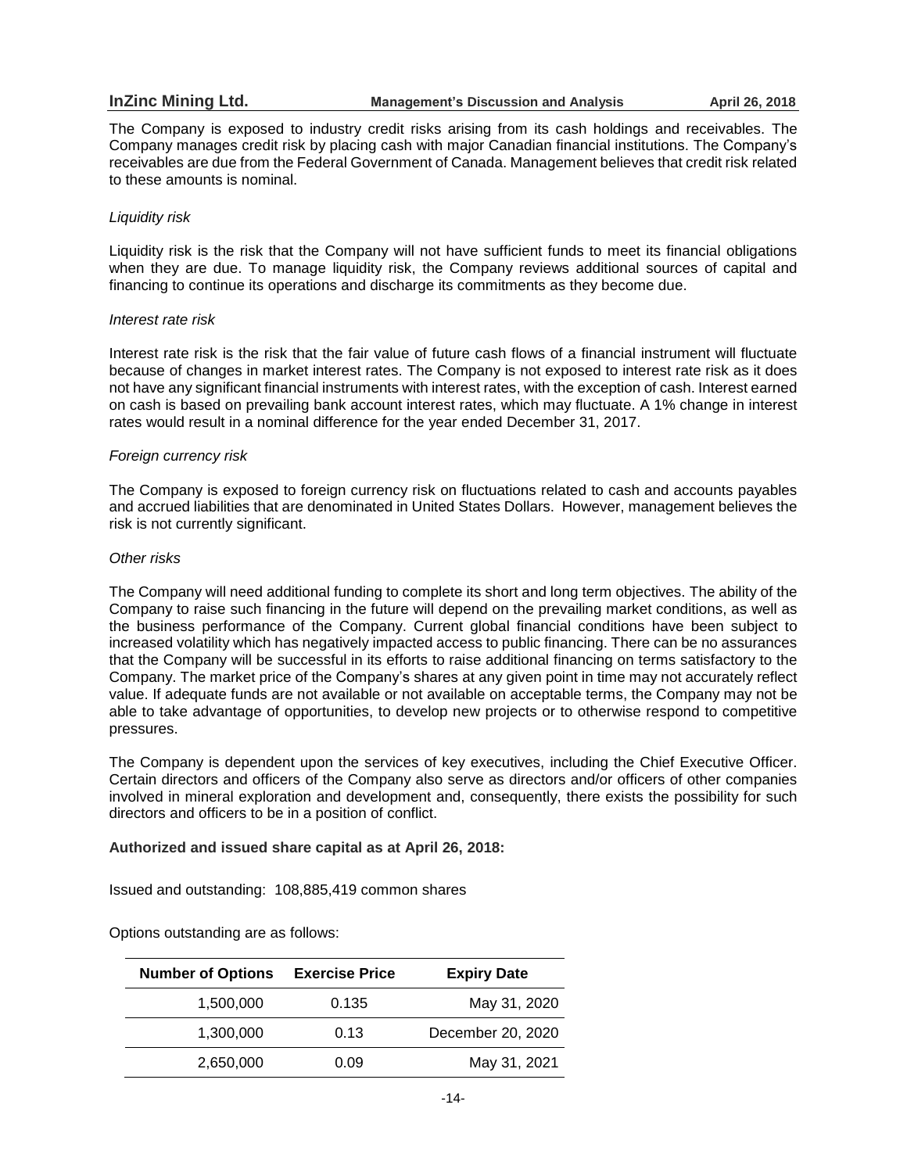# **InZinc Mining Ltd. Management's Discussion and Analysis April 26, 2018**

The Company is exposed to industry credit risks arising from its cash holdings and receivables. The Company manages credit risk by placing cash with major Canadian financial institutions. The Company's receivables are due from the Federal Government of Canada. Management believes that credit risk related to these amounts is nominal.

# *Liquidity risk*

Liquidity risk is the risk that the Company will not have sufficient funds to meet its financial obligations when they are due. To manage liquidity risk, the Company reviews additional sources of capital and financing to continue its operations and discharge its commitments as they become due.

### *Interest rate risk*

Interest rate risk is the risk that the fair value of future cash flows of a financial instrument will fluctuate because of changes in market interest rates. The Company is not exposed to interest rate risk as it does not have any significant financial instruments with interest rates, with the exception of cash. Interest earned on cash is based on prevailing bank account interest rates, which may fluctuate. A 1% change in interest rates would result in a nominal difference for the year ended December 31, 2017.

# *Foreign currency risk*

The Company is exposed to foreign currency risk on fluctuations related to cash and accounts payables and accrued liabilities that are denominated in United States Dollars. However, management believes the risk is not currently significant.

# *Other risks*

The Company will need additional funding to complete its short and long term objectives. The ability of the Company to raise such financing in the future will depend on the prevailing market conditions, as well as the business performance of the Company. Current global financial conditions have been subject to increased volatility which has negatively impacted access to public financing. There can be no assurances that the Company will be successful in its efforts to raise additional financing on terms satisfactory to the Company. The market price of the Company's shares at any given point in time may not accurately reflect value. If adequate funds are not available or not available on acceptable terms, the Company may not be able to take advantage of opportunities, to develop new projects or to otherwise respond to competitive pressures.

The Company is dependent upon the services of key executives, including the Chief Executive Officer. Certain directors and officers of the Company also serve as directors and/or officers of other companies involved in mineral exploration and development and, consequently, there exists the possibility for such directors and officers to be in a position of conflict.

**Authorized and issued share capital as at April 26, 2018:**

Issued and outstanding: 108,885,419 common shares

Options outstanding are as follows:

| <b>Number of Options</b> | <b>Exercise Price</b> | <b>Expiry Date</b> |
|--------------------------|-----------------------|--------------------|
| 1,500,000                | 0.135                 | May 31, 2020       |
| 1,300,000                | 0.13                  | December 20, 2020  |
| 2,650,000                | 0.09                  | May 31, 2021       |